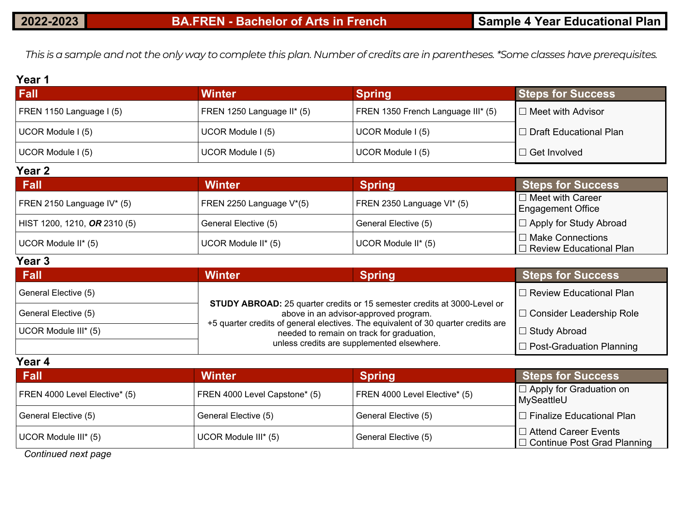*This is a sample and not the only way to complete this plan. Number of credits are in parentheses. \*Some classes have prerequisites.*

#### **Year 1**

| <b>Fall</b>              | Winter                     | <b>Spring</b>                      | <b>Steps for Success</b>   |
|--------------------------|----------------------------|------------------------------------|----------------------------|
| FREN 1150 Language I (5) | FREN 1250 Language II* (5) | FREN 1350 French Language III* (5) | I □ Meet with Advisor      |
| UCOR Module I (5)        | UCOR Module I (5)          | UCOR Module I (5)                  | l ⊡ Draft Educational Plan |
| UCOR Module I (5)        | UCOR Module I (5)          | UCOR Module I (5)                  | $\Box$ Get Involved        |
| Year <sub>2</sub>        |                            |                                    |                            |

| <b>Fall</b>                  | <b>Winter</b>                         | Spring                     | <b>Steps for Success</b>                             |
|------------------------------|---------------------------------------|----------------------------|------------------------------------------------------|
| FREN 2150 Language IV* (5)   | FREN 2250 Language V <sup>*</sup> (5) | FREN 2350 Language VI* (5) | $\Box$ Meet with Career<br>Engagement Office         |
| HIST 1200, 1210, OR 2310 (5) | General Elective (5)                  | General Elective (5)       | □ Apply for Study Abroad                             |
| UCOR Module II* (5)          | UCOR Module II* (5)                   | UCOR Module II* (5)        | □ Make Connections<br>$\Box$ Review Educational Plan |

#### **Year 3**

| <b>Fall</b>          | <b>Winter</b>                                                                                                                  | <b>Spring</b>              | <b>Steps for Success</b>        |
|----------------------|--------------------------------------------------------------------------------------------------------------------------------|----------------------------|---------------------------------|
| General Elective (5) |                                                                                                                                |                            | $\Box$ Review Educational Plan  |
| General Elective (5) | <b>STUDY ABROAD:</b> 25 quarter credits or 15 semester credits at 3000-Level or<br>above in an advisor-approved program.       | □ Consider Leadership Role |                                 |
| UCOR Module III* (5) | +5 quarter credits of general electives. The equivalent of 30 quarter credits are<br>needed to remain on track for graduation, | □ Study Abroad             |                                 |
|                      | unless credits are supplemented elsewhere.                                                                                     |                            | $\Box$ Post-Graduation Planning |

| Year 4                        |                               |                               |                                                                   |  |  |
|-------------------------------|-------------------------------|-------------------------------|-------------------------------------------------------------------|--|--|
| <b>Fall</b>                   | <b>Winter</b>                 | <b>Spring</b>                 | <b>Steps for Success</b>                                          |  |  |
| FREN 4000 Level Elective* (5) | FREN 4000 Level Capstone* (5) | FREN 4000 Level Elective* (5) | $\Box$ Apply for Graduation on<br>MySeattleU                      |  |  |
| General Elective (5)          | General Elective (5)          | General Elective (5)          | $\Box$ Finalize Educational Plan                                  |  |  |
| UCOR Module III* (5)          | UCOR Module III* (5)          | General Elective (5)          | $\Box$ Attend Career Events<br>$\Box$ Continue Post Grad Planning |  |  |

*Continued next page*